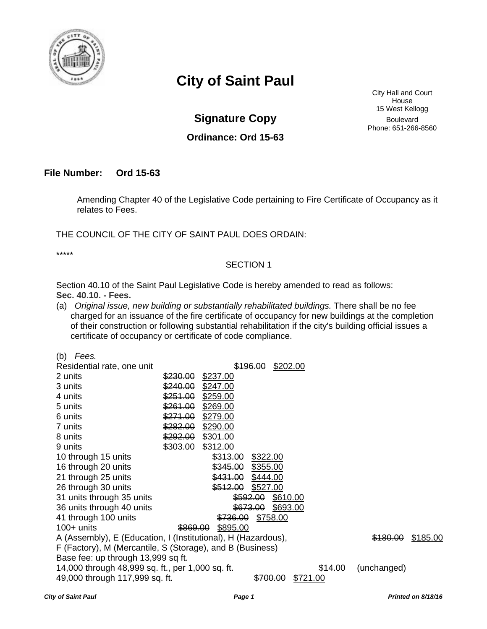

## **City of Saint Paul**

**Signature Copy** Boulevard

**Ordinance: Ord 15-63** 

City Hall and Court House 15 West Kellogg Phone: 651-266-8560

## **File Number: Ord 15-63**

Amending Chapter 40 of the Legislative Code pertaining to Fire Certificate of Occupancy as it relates to Fees.

THE COUNCIL OF THE CITY OF SAINT PAUL DOES ORDAIN:

\*\*\*\*\*

## SECTION 1

Section 40.10 of the Saint Paul Legislative Code is hereby amended to read as follows: **Sec. 40.10. - Fees.** 

(a) *Original issue, new building or substantially rehabilitated buildings.* There shall be no fee charged for an issuance of the fire certificate of occupancy for new buildings at the completion of their construction or following substantial rehabilitation if the city's building official issues a certificate of occupancy or certificate of code compliance.

*City of Saint Paul Page 1 Printed on 8/18/16*  (b) *Fees.*  Residential rate, one unit  $$196.00$  \$202.00 2 units \$230.00 \$237.00 3 units \$240.00 \$247.00 4 units \$251.00 \$259.00 5 units \$261.00 \$269.00 6 units \$271.00 \$279.00 7 units \$282.00 \$290.00 8 units \$292.00 \$301.00 9 units \$303.00 \$312.00 10 through 15 units  $\frac{$313.00}{$313.00}$  \$322.00 16 through 20 units  $$345.00$  \$355.00 21 through 25 units  $$431.00$  \$431.00 26 through 30 units  $\frac{$512.00}{$512.00}$  \$527.00 31 units through 35 units **\$592.00** \$610.00 36 units through 40 units  $\frac{$673.00}{$673.00}$  \$693.00 41 through 100 units  $\frac{$736.00}{$736.00}$  \$758.00 100+ units \$869.00 \$895.00 A (Assembly), E (Education, I (Institutional), H (Hazardous),  $\frac{$180.00}{$185.00}$  \$185.00 F (Factory), M (Mercantile, S (Storage), and B (Business) Base fee: up through 13,999 sq ft. 14,000 through 48,999 sq. ft., per 1,000 sq. ft. \$14.00 (unchanged)<br>49.000 through 117,999 sq. ft. \$700.00 \$721.00 49,000 through 117,999 sq. ft.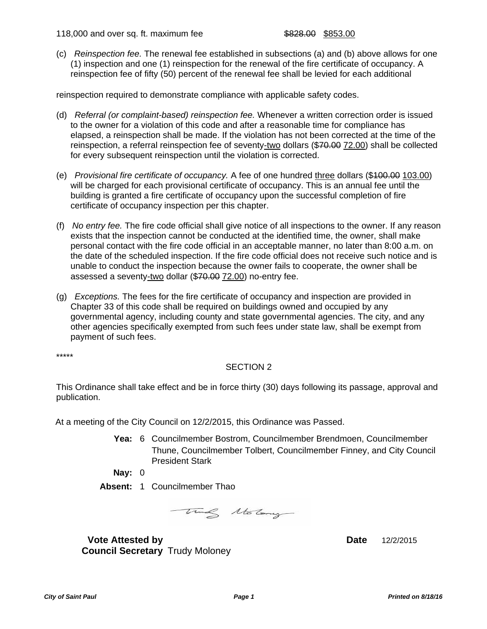118,000 and over sq. ft. maximum fee  $$828.00$  \$853.00

(c) *Reinspection fee.* The renewal fee established in subsections (a) and (b) above allows for one (1) inspection and one (1) reinspection for the renewal of the fire certificate of occupancy. A reinspection fee of fifty (50) percent of the renewal fee shall be levied for each additional

reinspection required to demonstrate compliance with applicable safety codes.

- (d) *Referral (or complaint-based) reinspection fee.* Whenever a written correction order is issued to the owner for a violation of this code and after a reasonable time for compliance has elapsed, a reinspection shall be made. If the violation has not been corrected at the time of the reinspection, a referral reinspection fee of seventy-two dollars (\$70.00 72.00) shall be collected for every subsequent reinspection until the violation is corrected.
- (e) *Provisional fire certificate of occupancy.* A fee of one hundred three dollars (\$100.00 103.00) will be charged for each provisional certificate of occupancy. This is an annual fee until the building is granted a fire certificate of occupancy upon the successful completion of fire certificate of occupancy inspection per this chapter.
- (f) *No entry fee.* The fire code official shall give notice of all inspections to the owner. If any reason exists that the inspection cannot be conducted at the identified time, the owner, shall make personal contact with the fire code official in an acceptable manner, no later than 8:00 a.m. on the date of the scheduled inspection. If the fire code official does not receive such notice and is unable to conduct the inspection because the owner fails to cooperate, the owner shall be assessed a seventy-two dollar (\$70.00 72.00) no-entry fee.
- (g) *Exceptions.* The fees for the fire certificate of occupancy and inspection are provided in Chapter 33 of this code shall be required on buildings owned and occupied by any governmental agency, including county and state governmental agencies. The city, and any other agencies specifically exempted from such fees under state law, shall be exempt from payment of such fees.

\*\*\*\*\*

## SECTION 2

This Ordinance shall take effect and be in force thirty (30) days following its passage, approval and publication.

At a meeting of the City Council on 12/2/2015, this Ordinance was Passed.

**Yea:** 6 Councilmember Bostrom, Councilmember Brendmoen, Councilmember Thune, Councilmember Tolbert, Councilmember Finney, and City Council President Stark

**Nay:** 0

**Absent:** 1 Councilmember Thao



**Vote Attested by Date** 12/2/2015 **Council Secretary** Trudy Moloney